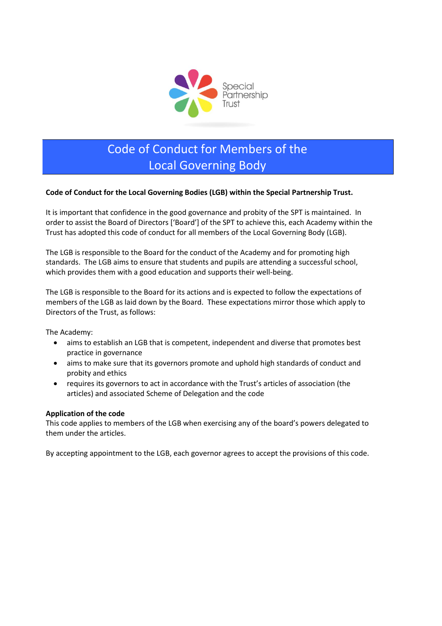

# Code of Conduct for Members of the Local Governing Body

### **Code of Conduct for the Local Governing Bodies (LGB) within the Special Partnership Trust.**

It is important that confidence in the good governance and probity of the SPT is maintained. In order to assist the Board of Directors ['Board'] of the SPT to achieve this, each Academy within the Trust has adopted this code of conduct for all members of the Local Governing Body (LGB).

The LGB is responsible to the Board for the conduct of the Academy and for promoting high standards. The LGB aims to ensure that students and pupils are attending a successful school, which provides them with a good education and supports their well-being.

The LGB is responsible to the Board for its actions and is expected to follow the expectations of members of the LGB as laid down by the Board. These expectations mirror those which apply to Directors of the Trust, as follows:

The Academy:

- aims to establish an LGB that is competent, independent and diverse that promotes best practice in governance
- aims to make sure that its governors promote and uphold high standards of conduct and probity and ethics
- requires its governors to act in accordance with the Trust's articles of association (the articles) and associated Scheme of Delegation and the code

### **Application of the code**

This code applies to members of the LGB when exercising any of the board's powers delegated to them under the articles.

By accepting appointment to the LGB, each governor agrees to accept the provisions of this code.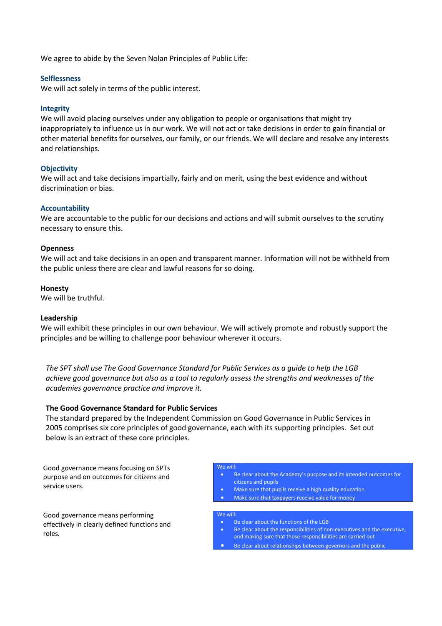We agree to abide by the Seven Nolan Principles of Public Life:

### **Selflessness**

We will act solely in terms of the public interest.

### **Integrity**

We will avoid placing ourselves under any obligation to people or organisations that might try inappropriately to influence us in our work. We will not act or take decisions in order to gain financial or other material benefits for ourselves, our family, or our friends. We will declare and resolve any interests and relationships.

### **Objectivity**

We will act and take decisions impartially, fairly and on merit, using the best evidence and without discrimination or bias.

### **Accountability**

We are accountable to the public for our decisions and actions and will submit ourselves to the scrutiny necessary to ensure this.

### **Openness**

We will act and take decisions in an open and transparent manner. Information will not be withheld from the public unless there are clear and lawful reasons for so doing.

### **Honesty**

We will be truthful.

### **Leadership**

We will exhibit these principles in our own behaviour. We will actively promote and robustly support the principles and be willing to challenge poor behaviour wherever it occurs.

*The SPT shall use The Good Governance Standard for Public Services as a guide to help the LGB achieve good governance but also as a tool to regularly assess the strengths and weaknesses of the academies governance practice and improve it.*

### **The Good Governance Standard for Public Services**

The standard prepared by the Independent Commission on Good Governance in Public Services in 2005 comprises six core principles of good governance, each with its supporting principles. Set out below is an extract of these core principles.

Good governance means focusing on SPTs purpose and on outcomes for citizens and service users.

Good governance means performing effectively in clearly defined functions and roles.

#### Be clear about the Academy's purpose and its intended outcomes for citizens and pupils

- Make sure that pupils receive a high quality education
- Make sure that taxpayers receive value for money

#### We will:

We will:

- Be clear about the functions of the LGB
- Be clear about the responsibilities of non-executives and the executive, and making sure that those responsibilities are carried out
- Be clear about relationships between governors and the public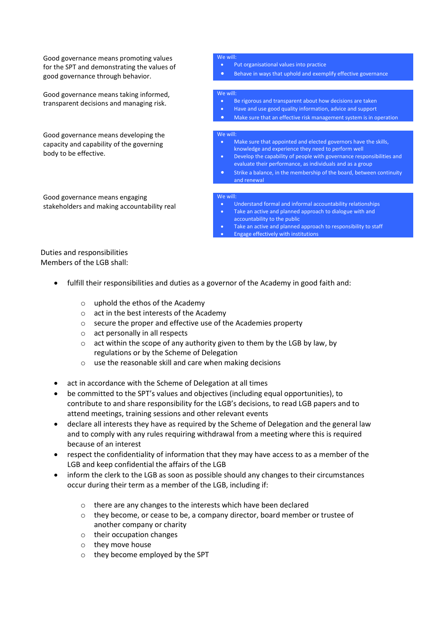Good governance means promoting values for the SPT and demonstrating the values of good governance through behavior.

Good governance means taking informed, transparent decisions and managing risk.

Good governance means developing the capacity and capability of the governing body to be effective.

Good governance means engaging stakeholders and making accountability real

#### will

- Put organisational values into practice
	- Behave in ways that uphold and exemplify effective governance

#### We will:

- Be rigorous and transparent about how decisions are taken
- Have and use good quality information, advice and support
- Make sure that an effective risk management system is in operation

#### We will:

- Make sure that appointed and elected governors have the skills, knowledge and experience they need to perform well
- Develop the capability of people with governance responsibilities and evaluate their performance, as individuals and as a group
- Strike a balance, in the membership of the board, between continuity and renewal

#### We will:

- Understand formal and informal accountability relationships
- Take an active and planned approach to dialogue with and accountability to the public
- Take an active and planned approach to responsibility to staff Engage effectively with institutions

### Duties and responsibilities Members of the LGB shall:

- fulfill their responsibilities and duties as a governor of the Academy in good faith and:
	- o uphold the ethos of the Academy
	- o act in the best interests of the Academy
	- o secure the proper and effective use of the Academies property
	- o act personally in all respects
	- o act within the scope of any authority given to them by the LGB by law, by regulations or by the Scheme of Delegation
	- o use the reasonable skill and care when making decisions
- act in accordance with the Scheme of Delegation at all times
- be committed to the SPT's values and objectives (including equal opportunities), to contribute to and share responsibility for the LGB's decisions, to read LGB papers and to attend meetings, training sessions and other relevant events
- declare all interests they have as required by the Scheme of Delegation and the general law and to comply with any rules requiring withdrawal from a meeting where this is required because of an interest
- respect the confidentiality of information that they may have access to as a member of the LGB and keep confidential the affairs of the LGB
- inform the clerk to the LGB as soon as possible should any changes to their circumstances occur during their term as a member of the LGB, including if:
	- o there are any changes to the interests which have been declared
	- $\circ$  they become, or cease to be, a company director, board member or trustee of another company or charity
	- o their occupation changes
	- o they move house
	- o they become employed by the SPT